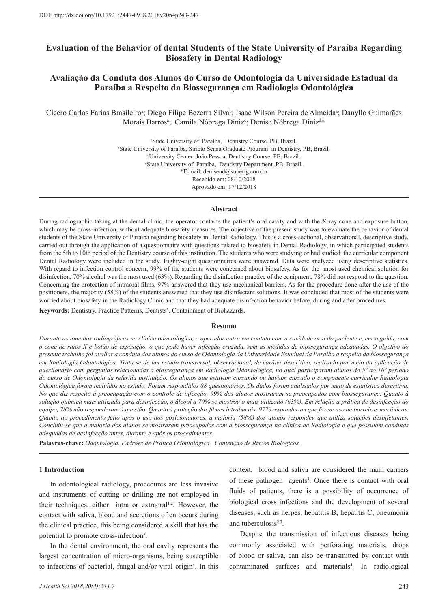# **Evaluation of the Behavior of dental Students of the State University of Paraíba Regarding Biosafety in Dental Radiology**

# **Avaliação da Conduta dos Alunos do Curso de Odontologia da Universidade Estadual da Paraíba a Respeito da Biossegurança em Radiologia Odontológica**

Cícero Carlos Farias Brasileiroª; Diego Filipe Bezerra Silva<sup>b</sup>; Isaac Wilson Pereira de Almeidaª; Danyllo Guimarães Morais Barrosª; Camila Nóbrega Diniz<sup>c</sup>; Denise Nóbrega Diniz<sup>d\*</sup>

> a State University of Paraíba, Dentistry Course. PB, Brazil. b State University of Paraíba, Stricto Sensu Graduate Program in Dentistry, PB, Brazil. c University Center João Pessoa, Dentistry Course, PB, Brazil. d State University of Paraíba, Dentistry Department ,PB, Brazil. \*E-mail: denisend@superig.com.br Recebido em: 08/10/2018 Aprovado em: 17/12/2018

#### **Abstract**

During radiographic taking at the dental clinic, the operator contacts the patient's oral cavity and with the X-ray cone and exposure button, which may be cross-infection, without adequate biosafety measures. The objective of the present study was to evaluate the behavior of dental students of the State University of Paraíba regarding biosafety in Dental Radiology. This is a cross-sectional, observational, descriptive study, carried out through the application of a questionnaire with questions related to biosafety in Dental Radiology, in which participated students from the 5th to 10th period of the Dentistry course of this institution. The students who were studying or had studied the curricular component Dental Radiology were included in the study. Eighty-eight questionnaires were answered. Data were analyzed using descriptive statistics. With regard to infection control concern, 99% of the students were concerned about biosafety. As for the most used chemical solution for disinfection, 70% alcohol was the most used (63%). Regarding the disinfection practice of the equipment, 78% did not respond to the question. Concerning the protection of intraoral films, 97% answered that they use mechanical barriers. As for the procedure done after the use of the positioners, the majority (58%) of the students answered that they use disinfectant solutions. It was concluded that most of the students were worried about biosafety in the Radiology Clinic and that they had adequate disinfection behavior before, during and after procedures.

**Keywords:** Dentistry. Practice Patterns, Dentists'. Containment of Biohazards.

#### **Resumo**

*Durante as tomadas radiográficas na clínica odontológica, o operador entra em contato com a cavidade oral do paciente e, em seguida, com o cone de raios-X e botão de exposição, o que pode haver infecção cruzada, sem as medidas de biossegurança adequadas. O objetivo do presente trabalho foi avaliar a conduta dos alunos do curso de Odontologia da Universidade Estadual da Paraíba a respeito da biossegurança em Radiologia Odontológica. Trata-se de um estudo transversal, observacional, de caráter descritivo, realizado por meio da aplicação de questionário com perguntas relacionadas à biossegurança em Radiologia Odontológica, no qual participaram alunos do 5º ao 10º período do curso de Odontologia da referida instituição. Os alunos que estavam cursando ou haviam cursado o componente curricular Radiologia Odontológica foram incluídos no estudo. Foram respondidos 88 questionários. Os dados foram analisados por meio de estatística descritiva. No que diz respeito à preocupação com o controle de infecção, 99% dos alunos mostraram-se preocupados com biossegurança. Quanto à solução química mais utilizada para desinfecção, o álcool a 70% se mostrou o mais utilizado (63%). Em relação a prática de desinfecção do equipo, 78% não responderam à questão. Quanto à proteção dos filmes intrabucais, 97% responderam que fazem uso de barreiras mecânicas. Quanto ao procedimento feito após o uso dos posicionadores, a maioria (58%) dos alunos respondeu que utiliza soluções desinfetantes. Concluiu-se que a maioria dos alunos se mostraram preocupados com a biossegurança na clínica de Radiologia e que possuíam condutas adequadas de desinfecção antes, durante e após os procedimentos.* 

**Palavras-chave:** *Odontologia. Padrões de Prática Odontológica. Contenção de Riscos Biológicos.* 

### **1 Introduction**

In odontological radiology, procedures are less invasive and instruments of cutting or drilling are not employed in their techniques, either intra or extraoral<sup>1.2</sup>. However, the contact with saliva, blood and secretions often occurs during the clinical practice, this being considered a skill that has the potential to promote cross-infection<sup>3</sup>.

In the dental environment, the oral cavity represents the largest concentration of micro-organisms, being susceptible to infections of bacterial, fungal and/or viral origin<sup>4</sup>. In this context, blood and saliva are considered the main carriers of these pathogen agents<sup>3</sup>. Once there is contact with oral fluids of patients, there is a possibility of occurrence of biological cross infections and the development of several diseases, such as herpes, hepatitis B, hepatitis C, pneumonia and tuberculosis<sup>2.3</sup>.

Despite the transmission of infectious diseases being commonly associated with perforating materials, drops of blood or saliva, can also be transmitted by contact with contaminated surfaces and materials<sup>4</sup>. In radiological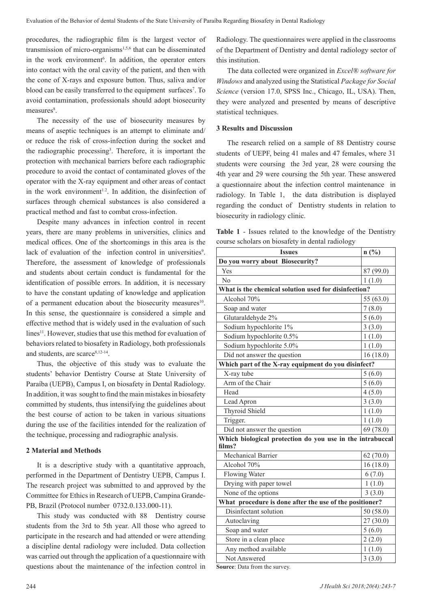procedures, the radiographic film is the largest vector of transmission of micro-organisms<sup>1,5,6</sup> that can be disseminated in the work environment<sup>6</sup>. In addition, the operator enters into contact with the oral cavity of the patient, and then with the cone of X-rays and exposure button. Thus, saliva and/or blood can be easily transferred to the equipment surfaces<sup>7</sup>. To avoid contamination, professionals should adopt biosecurity measures<sup>8</sup>.

The necessity of the use of biosecurity measures by means of aseptic techniques is an attempt to eliminate and/ or reduce the risk of cross-infection during the socket and the radiographic processing<sup>3</sup>. Therefore, it is important the protection with mechanical barriers before each radiographic procedure to avoid the contact of contaminated gloves of the operator with the X-ray equipment and other areas of contact in the work environment<sup>1.2</sup>. In addition, the disinfection of surfaces through chemical substances is also considered a practical method and fast to combat cross-infection.

Despite many advances in infection control in recent years, there are many problems in universities, clinics and medical offices. One of the shortcomings in this area is the lack of evaluation of the infection control in universities<sup>9</sup>. Therefore, the assessment of knowledge of professionals and students about certain conduct is fundamental for the identification of possible errors. In addition, it is necessary to have the constant updating of knowledge and application of a permanent education about the biosecurity measures $10$ . In this sense, the questionnaire is considered a simple and effective method that is widely used in the evaluation of such lines<sup>11</sup>. However, studies that use this method for evaluation of behaviors related to biosafety in Radiology, both professionals and students, are scarce<sup>8,12-14</sup>.

Thus, the objective of this study was to evaluate the students' behavior Dentistry Course at State University of Paraíba (UEPB), Campus I, on biosafety in Dental Radiology. In addition, it was sought to find the main mistakes in biosafety committed by students, thus intensifying the guidelines about the best course of action to be taken in various situations during the use of the facilities intended for the realization of the technique, processing and radiographic analysis.

## **2 Material and Methods**

It is a descriptive study with a quantitative approach, performed in the Department of Dentistry UEPB, Campus I. The research project was submitted to and approved by the Committee for Ethics in Research of UEPB, Campina Grande-PB, Brazil (Protocol number 0732.0.133.000-11).

This study was conducted with 88 Dentistry course students from the 3rd to 5th year. All those who agreed to participate in the research and had attended or were attending a discipline dental radiology were included. Data collection was carried out through the application of a questionnaire with questions about the maintenance of the infection control in Radiology. The questionnaires were applied in the classrooms of the Department of Dentistry and dental radiology sector of this institution.

The data collected were organized in *Excel® software for Windows* and analyzed using the Statistical *Package for Social Science* (version 17.0, SPSS Inc., Chicago, IL, USA). Then, they were analyzed and presented by means of descriptive statistical techniques.

## **3 Results and Discussion**

The research relied on a sample of 88 Dentistry course students of UEPF, being 41 males and 47 females, where 31 students were coursing the 3rd year, 28 were coursing the 4th year and 29 were coursing the 5th year. These answered a questionnaire about the infection control maintenance in radiology. In Table 1, the data distribution is displayed regarding the conduct of Dentistry students in relation to biosecurity in radiology clinic.

**Table 1** - Issues related to the knowledge of the Dentistry course scholars on biosafety in dental radiology

| <b>Issues</b>                                                       | $n(^{0}/_{0})$ |
|---------------------------------------------------------------------|----------------|
| Do you worry about Biosecurity?                                     |                |
| Yes                                                                 | 87 (99.0)      |
| $\rm No$                                                            | 1(1.0)         |
| What is the chemical solution used for disinfection?                |                |
| Alcohol 70%                                                         | 55 (63.0)      |
| Soap and water                                                      | 7(8.0)         |
| Glutaraldehyde 2%                                                   | 5(6.0)         |
| Sodium hypochlorite 1%                                              | 3(3.0)         |
| Sodium hypochlorite 0.5%                                            | 1(1.0)         |
| Sodium hypochlorite 5.0%                                            | 1(1.0)         |
| Did not answer the question                                         | 16(18.0)       |
| Which part of the X-ray equipment do you disinfect?                 |                |
| X-ray tube                                                          | 5(6.0)         |
| Arm of the Chair                                                    | 5(6.0)         |
| Head                                                                | 4(5.0)         |
| Lead Apron                                                          | 3(3.0)         |
| Thyroid Shield                                                      | 1(1.0)         |
| Trigger.                                                            | 1(1.0)         |
| Did not answer the question                                         | 69 (78.0)      |
| Which biological protection do you use in the intrabuccal<br>films? |                |
| Mechanical Barrier                                                  | 62(70.0)       |
| Alcohol 70%                                                         | 16(18.0)       |
| Flowing Water                                                       | 6(7.0)         |
| Drying with paper towel                                             | 1(1.0)         |
| None of the options                                                 | 3(3.0)         |
| What procedure is done after the use of the positioner?             |                |
| Disinfectant solution                                               | 50(58.0)       |
| Autoclaving                                                         | 27 (30.0)      |
| Soap and water                                                      | 5(6.0)         |
| Store in a clean place                                              | 2(2.0)         |
| Any method available                                                | 1(1.0)         |
| Not Answered                                                        | 3(3.0)         |

**Source**: Data from the survey.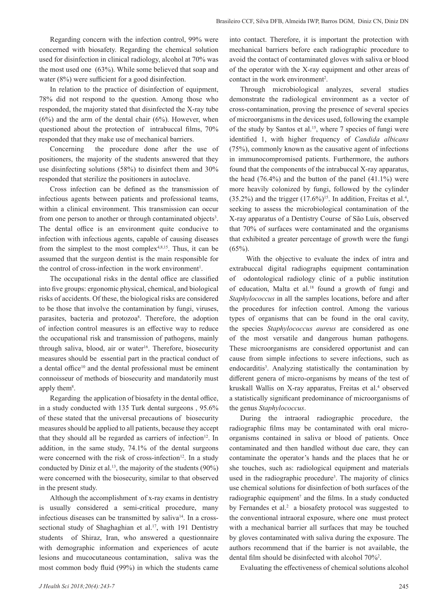Regarding concern with the infection control, 99% were concerned with biosafety. Regarding the chemical solution used for disinfection in clinical radiology, alcohol at 70% was the most used one (63%). While some believed that soap and water (8%) were sufficient for a good disinfection.

In relation to the practice of disinfection of equipment, 78% did not respond to the question. Among those who responded, the majority stated that disinfected the X-ray tube  $(6%)$  and the arm of the dental chair  $(6%)$ . However, when questioned about the protection of intrabuccal films, 70% responded that they make use of mechanical barriers.

Concerning the procedure done after the use of positioners, the majority of the students answered that they use disinfecting solutions (58%) to disinfect them and 30% responded that sterilize the positioners in autoclave.

Cross infection can be defined as the transmission of infectious agents between patients and professional teams, within a clinical environment. This transmission can occur from one person to another or through contaminated objects<sup>3</sup>. The dental office is an environment quite conducive to infection with infectious agents, capable of causing diseases from the simplest to the most complex<sup>4,8,15</sup>. Thus, it can be assumed that the surgeon dentist is the main responsible for the control of cross-infection in the work environment<sup>1</sup>.

The occupational risks in the dental office are classified into five groups: ergonomic physical, chemical, and biological risks of accidents. Of these, the biological risks are considered to be those that involve the contamination by fungi, viruses, parasites, bacteria and protozoa<sup>8</sup>. Therefore, the adoption of infection control measures is an effective way to reduce the occupational risk and transmission of pathogens, mainly through saliva, blood, air or water<sup>16</sup>. Therefore, biosecurity measures should be essential part in the practical conduct of a dental office<sup>10</sup> and the dental professional must be eminent connoisseur of methods of biosecurity and mandatorily must apply them<sup>8</sup>.

Regarding the application of biosafety in the dental office, in a study conducted with 135 Turk dental surgeons , 95.6% of these stated that the universal precautions of biosecurity measures should be applied to all patients, because they accept that they should all be regarded as carriers of infection<sup>12</sup>. In addition, in the same study, 74.1% of the dental surgeons were concerned with the risk of cross-infection<sup>12</sup>. In a study conducted by Diniz et al.<sup>13</sup>, the majority of the students  $(90\%)$ were concerned with the biosecurity, similar to that observed in the present study.

Although the accomplishment of x-ray exams in dentistry is usually considered a semi-critical procedure, many infectious diseases can be transmitted by saliva<sup>14</sup>. In a crosssectional study of Shaghaghian et al.<sup>17</sup>, with 191 Dentistry students of Shiraz, Iran, who answered a questionnaire with demographic information and experiences of acute lesions and mucocutaneous contamination, saliva was the most common body fluid (99%) in which the students came into contact. Therefore, it is important the protection with mechanical barriers before each radiographic procedure to avoid the contact of contaminated gloves with saliva or blood of the operator with the X-ray equipment and other areas of contact in the work environment<sup>2</sup>.

Through microbiological analyzes, several studies demonstrate the radiological environment as a vector of cross-contamination, proving the presence of several species of microorganisms in the devices used, following the example of the study by Santos et al.<sup>15</sup>, where 7 species of fungi were identified 1, with higher frequency of *Candida albicans* (75%), commonly known as the causative agent of infections in immunocompromised patients. Furthermore, the authors found that the components of the intrabuccal X-ray apparatus, the head (76.4%) and the button of the panel (41.1%) were more heavily colonized by fungi, followed by the cylinder  $(35.2\%)$  and the trigger  $(17.6\%)^{15}$ . In addition, Freitas et al.<sup>4</sup>, seeking to assess the microbiological contamination of the X-ray apparatus of a Dentistry Course of São Luís, observed that 70% of surfaces were contaminated and the organisms that exhibited a greater percentage of growth were the fungi  $(65\%)$ .

 With the objective to evaluate the index of intra and extrabuccal digital radiographs equipment contamination of odontological radiology clinic of a public institution of education, Malta et al.<sup>18</sup> found a growth of fungi and *Staphylococcus* in all the samples locations, before and after the procedures for infection control. Among the various types of organisms that can be found in the oral cavity, the species *Staphylococcus aureus* are considered as one of the most versatile and dangerous human pathogens. These microorganisms are considered opportunist and can cause from simple infections to severe infections, such as endocarditis<sup>3</sup>. Analyzing statistically the contamination by different genera of micro-organisms by means of the test of kruskall Wallis on X-ray apparatus, Freitas et al.4 observed a statistically significant predominance of microorganisms of the genus *Staphylococcus*.

During the intraoral radiographic procedure, the radiographic films may be contaminated with oral microorganisms contained in saliva or blood of patients. Once contaminated and then handled without due care, they can contaminate the operator's hands and the places that he or she touches, such as: radiological equipment and materials used in the radiographic procedure<sup>3</sup>. The majority of clinics use chemical solutions for disinfection of both surfaces of the radiographic equipment<sup>7</sup> and the films. In a study conducted by Fernandes et al.<sup>2</sup> a biosafety protocol was suggested to the conventional intraoral exposure, where one must protect with a mechanical barrier all surfaces that may be touched by gloves contaminated with saliva during the exposure. The authors recommend that if the barrier is not available, the dental film should be disinfected with alcohol 70%<sup>2</sup> .

Evaluating the effectiveness of chemical solutions alcohol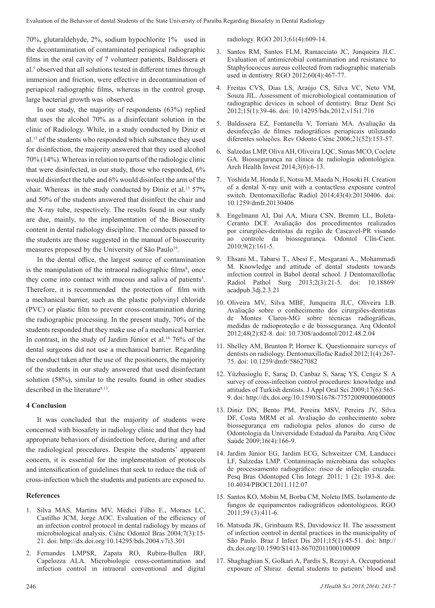70%, glutaraldehyde, 2%, sodium hypochlorite 1% used in the decontamination of contaminated periapical radiographic films in the oral cavity of 7 volunteer patients, Baldissera et al.<sup>5</sup> observed that all solutions tested in different times through immersion and friction, were effective in decontamination of periapical radiographic films, whereas in the control group, large bacterial growth was observed.

In our study, the majority of respondents (63%) replied that uses the alcohol 70% as a disinfectant solution in the clinic of Radiology. While, in a study conducted by Diniz et al.13 of the students who responded which substance they used for disinfection, the majority answered that they used alcohol 70% (14%). Whereas in relation to parts of the radiologic clinic that were disinfected, in our study, those who responded, 6% would disinfect the tube and 6% would disinfect the arm of the chair. Whereas in the study conducted by Diniz et al.<sup>13</sup> 57% and 50% of the students answered that disinfect the chair and the X-ray tube, respectively. The results found in our study are due, mainly, to the implementation of the Biosecurity content in dental radiology discipline. The conducts passed to the students are those suggested in the manual of biosecurity measures proposed by the University of São Paulo<sup>19</sup>.

In the dental office, the largest source of contamination is the manipulation of the intraoral radiographic films<sup>8</sup>, once they come into contact with mucous and saliva of patients<sup>5</sup>. Therefore, it is recommended the protection of film with a mechanical barrier, such as the plastic polyvinyl chloride (PVC) or plastic film to prevent cross-contamination during the radiographic processing. In the present study, 70% of the students responded that they make use of a mechanical barrier. In contrast, in the study of Jardim Júnior et al.<sup>14.</sup> 76% of the dental surgeons did not use a mechanical barrier. Regarding the conduct taken after the use of the positioners, the majority of the students in our study answered that used disinfectant solution (58%), similar to the results found in other studies described in the literature<sup>8.13</sup>.

## **4 Conclusion**

It was concluded that the majority of students were concerned with biosafety in radiology clinic and that they had appropriate behaviors of disinfection before, during and after the radiological procedures. Despite the students' apparent concern, it is essential for the implementation of protocols and intensification of guidelines that seek to reduce the risk of cross-infection which the students and patients are exposed to.

### **References**

- 1. Silva MAS, Martins MV, Médici Filho E., Moraes LC, Castilho JCM, Jorge AOC. Evaluation of the efficiency of an infection control protocol in dental radiology by means of microbiological analysis. Ciênc Odontol Bras 2004;7(3):15- 21. doi: http://dx.doi.org/10.14295/bds.2004.v7i3.301
- 2. Fernandes LMPSR, Zapata RO, Rubira-Bullen IRF, Capelozza ALA. Microbiologic cross-contamination and infection control in intraoral conventional and digital

radiology. RGO 2013;61(4):609-14.

- 3. Santos RM, Santos FLM, Ramacciato JC, Junqueira JLC. Evaluation of antimicrobial contamination and resistance to Staphylococcus aureus collected from radiographic materials used in dentistry. RGO 2012;60(4):467-77.
- 4. Freitas CVS, Dias LS, Araújo CS, Silva VC, Neto VM, Souza JIL. Assessment of microbiological contamination of radiographic devices in school of dentistry. Braz Dent Sci 2012;15(1):39-46. doi: 10.14295/bds.2012.v15i1.716
- 5. Baldissera EZ, Fontanella V, Torriani MA. Avaliação da desinfecção de filmes radiográficos periapicais utilizando diferentes soluções. Rev Odonto Ciênc 2006;21(52):153-57.
- 6. Salzedas LMP, Oliva AH, Oliveira LQC, Simas MCO, Coclete GA. Biossegurança na clínica de radiologia odontológica. Arch Health Invest 2014;3(6):6-13.
- 7. Yoshida M, Honda E, Notsu M, Maeda N, Hosoki H. Creation of a dental X-ray unit with a contactless exposure control switch. Dentomaxillofac Radiol 2014;43(4):20130406. doi: 10.1259/dmfr.20130406
- 8. Engelmann AI, Daí AA, Miura CSN, Bremm LL, Boleta-Ceranto DCF. Avaliação dos procedimentos realizados por cirurgiões-dentistas da região de Cascavel-PR visando ao controle da biossegurança. Odontol Clín-Cient. 2010;9(2):161-5.
- 9. Ehsani M., Tabarsi T., Abesi F., Mesgarani A., Mohammadi M. Knowledge and attitude of dental students towards infection control in Babol dental school. J Dentomaxillofac Radiol Pathol Surg 2013;2(3):21-5. doi: 10.18869/ acadpub.3dj.2.3.21
- 10. Oliveira MV, Silva MBF, Junqueira JLC, Oliveira LB. Avaliação sobre o conhecimento dos cirurgiões-dentistas de Montes Claros-MG sobre técnicas radiográficas, medidas de radioproteção e de biossegurança. Arq Odontol 2012;48(2):82-8. doi: 10.7308/aodontol/2012.48.2.04
- 11. Shelley AM, Brunton P, Horner K. Questionnaire surveys of dentists on radiology. Dentomaxillofac Radiol 2012;1(4):267- 75. doi: 10.1259/dmfr/58627082
- 12. Yüzbasioglu E, Saraç D, Canbaz S, Saraç YS, Cengiz S. A survey of cross-infection control procedures: knowledge and attitudes of Turkish dentists. J Appl Oral Sci 2009;17(6):565- 9. doi: http://dx.doi.org/10.1590/S1678-77572009000600005
- 13. Diniz DN, Bento PM, Pereira MSV, Pereira JV, Silva DF, Costa MRM et al. Avaliação do conhecimento sobre biossegurança em radiologia pelos alunos do curso de Odontologia da Universidade Estadual da Paraiba. Arq Ciênc Saúde 2009;16(4):166-9.
- 14. Jardim Júnior EG, Jardim ECG, Schweitzer CM, Landucci LF, Salzedas LMP. Contaminação microbiana das soluções de processamento radiográfico: risco de infecção cruzada. Pesq Bras Odontoped Clin Integr. 2011; 1 (2): 193-8. doi: 10.4034/PBOCI.2011.112.07
- 15. Santos KO, Mobin M, Borba CM, Noleto IMS. Isolamento de fungos de equipamentos radiográficos odontológicos. RGO 2011;59 (3):411-6.
- 16. Matsuda JK, Grinbaum RS, Davidowicz H. The assessment of infection control in dental practices in the municipality of São Paulo. Braz J Infect Dis 2011;15(1):45-51. doi: http:// dx.doi.org/10.1590/S1413-86702011000100009
- 17. Shaghaghian S, Golkari A, Pardis S, Rezayi A. Occupational exposure of Shiraz dental students to patients' blood and